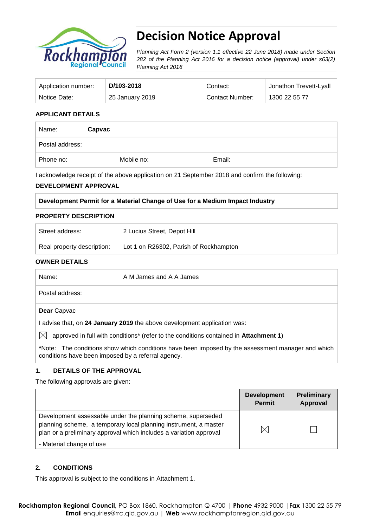

# **Decision Notice Approval**

*Planning Act Form 2 (version 1.1 effective 22 June 2018) made under Section 282 of the Planning Act 2016 for a decision notice (approval) under s63(2) Planning Act 2016*

| Application number: | D/103-2018      | Contact:        | Jonathon Trevett-Lyall |
|---------------------|-----------------|-----------------|------------------------|
| Notice Date:        | 25 January 2019 | Contact Number: | 1300 22 55 77          |

### **APPLICANT DETAILS**

| Name:           | Capvac     |        |  |
|-----------------|------------|--------|--|
| Postal address: |            |        |  |
| Phone no:       | Mobile no: | Email: |  |

I acknowledge receipt of the above application on 21 September 2018 and confirm the following:

### **DEVELOPMENT APPROVAL**

#### **Development Permit for a Material Change of Use for a Medium Impact Industry**

#### **PROPERTY DESCRIPTION**

| Street address:            | 2 Lucius Street, Depot Hill            |
|----------------------------|----------------------------------------|
| Real property description: | Lot 1 on R26302, Parish of Rockhampton |

#### **OWNER DETAILS**

| Name:                                              | A M James and A A James                                                                                   |
|----------------------------------------------------|-----------------------------------------------------------------------------------------------------------|
| Postal address:                                    |                                                                                                           |
| Dear Capvac                                        |                                                                                                           |
|                                                    | advise that, on 24 January 2019 the above development application was:                                    |
| IXI                                                | approved in full with conditions <sup>*</sup> (refer to the conditions contained in <b>Attachment 1</b> ) |
| conditions have been imposed by a referral agency. | *Note: The conditions show which conditions have been imposed by the assessment manager and which         |

### **1. DETAILS OF THE APPROVAL**

The following approvals are given:

|                                                                                                                                                                                                        | <b>Development</b><br><b>Permit</b> | Preliminary<br>Approval |
|--------------------------------------------------------------------------------------------------------------------------------------------------------------------------------------------------------|-------------------------------------|-------------------------|
| Development assessable under the planning scheme, superseded<br>planning scheme, a temporary local planning instrument, a master<br>plan or a preliminary approval which includes a variation approval | $\boxtimes$                         |                         |
| - Material change of use                                                                                                                                                                               |                                     |                         |

### **2. CONDITIONS**

This approval is subject to the conditions in Attachment 1.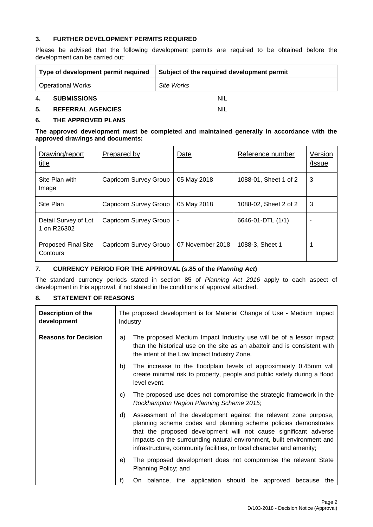### **3. FURTHER DEVELOPMENT PERMITS REQUIRED**

Please be advised that the following development permits are required to be obtained before the development can be carried out:

|                          | Type of development permit required | Subject of the required development permit |  |
|--------------------------|-------------------------------------|--------------------------------------------|--|
| <b>Operational Works</b> |                                     | Site Works                                 |  |
| 4.                       | <b>SUBMISSIONS</b>                  | <b>NIL</b>                                 |  |

## **5. REFERRAL AGENCIES** NIL

## **6. THE APPROVED PLANS**

#### **The approved development must be completed and maintained generally in accordance with the approved drawings and documents:**

| Drawing/report<br>title                | Prepared by            | Date             | Reference number      | Version<br>/Issue |
|----------------------------------------|------------------------|------------------|-----------------------|-------------------|
| Site Plan with<br>Image                | Capricorn Survey Group | 05 May 2018      | 1088-01, Sheet 1 of 2 | 3                 |
| Site Plan                              | Capricorn Survey Group | 05 May 2018      | 1088-02, Sheet 2 of 2 | 3                 |
| Detail Survey of Lot<br>1 on R26302    | Capricorn Survey Group | ٠                | 6646-01-DTL (1/1)     |                   |
| <b>Proposed Final Site</b><br>Contours | Capricorn Survey Group | 07 November 2018 | 1088-3, Sheet 1       |                   |

### **7. CURRENCY PERIOD FOR THE APPROVAL (s.85 of the** *Planning Act***)**

The standard currency periods stated in section 85 of *Planning Act 2016* apply to each aspect of development in this approval, if not stated in the conditions of approval attached.

## **8. STATEMENT OF REASONS**

| <b>Description of the</b><br>development | The proposed development is for Material Change of Use - Medium Impact<br>Industry |                                                                                                                                                                                                                                                                                                                                                           |  |
|------------------------------------------|------------------------------------------------------------------------------------|-----------------------------------------------------------------------------------------------------------------------------------------------------------------------------------------------------------------------------------------------------------------------------------------------------------------------------------------------------------|--|
| <b>Reasons for Decision</b>              | a)                                                                                 | The proposed Medium Impact Industry use will be of a lessor impact<br>than the historical use on the site as an abattoir and is consistent with<br>the intent of the Low Impact Industry Zone.                                                                                                                                                            |  |
|                                          | b)                                                                                 | The increase to the floodplain levels of approximately 0.45mm will<br>create minimal risk to property, people and public safety during a flood<br>level event.                                                                                                                                                                                            |  |
|                                          | C)                                                                                 | The proposed use does not compromise the strategic framework in the<br>Rockhampton Region Planning Scheme 2015;                                                                                                                                                                                                                                           |  |
|                                          | d)                                                                                 | Assessment of the development against the relevant zone purpose,<br>planning scheme codes and planning scheme policies demonstrates<br>that the proposed development will not cause significant adverse<br>impacts on the surrounding natural environment, built environment and<br>infrastructure, community facilities, or local character and amenity; |  |
|                                          | e)                                                                                 | The proposed development does not compromise the relevant State<br>Planning Policy; and                                                                                                                                                                                                                                                                   |  |
|                                          | f)                                                                                 | On balance, the application should be approved because<br>the                                                                                                                                                                                                                                                                                             |  |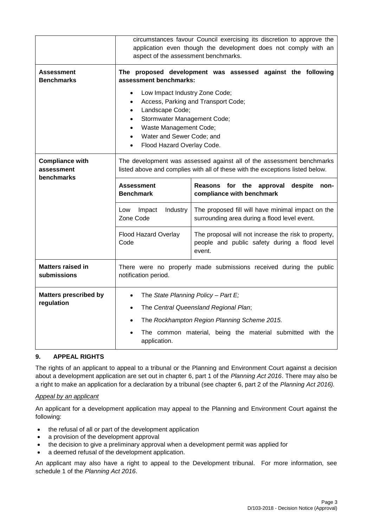|                                                    | circumstances favour Council exercising its discretion to approve the<br>application even though the development does not comply with an<br>aspect of the assessment benchmarks.                                                                                                                                                                                       |                                                                             |  |
|----------------------------------------------------|------------------------------------------------------------------------------------------------------------------------------------------------------------------------------------------------------------------------------------------------------------------------------------------------------------------------------------------------------------------------|-----------------------------------------------------------------------------|--|
| Assessment<br><b>Benchmarks</b>                    | The proposed development was assessed against the following<br>assessment benchmarks:<br>Low Impact Industry Zone Code;<br>Access, Parking and Transport Code;<br>$\bullet$<br>Landscape Code;<br>$\bullet$<br>Stormwater Management Code;<br>$\bullet$<br>Waste Management Code;<br>$\bullet$<br>Water and Sewer Code; and<br>$\bullet$<br>Flood Hazard Overlay Code. |                                                                             |  |
| <b>Compliance with</b><br>assessment<br>benchmarks | The development was assessed against all of the assessment benchmarks<br>listed above and complies with all of these with the exceptions listed below.                                                                                                                                                                                                                 |                                                                             |  |
|                                                    | <b>Assessment</b><br><b>Benchmark</b>                                                                                                                                                                                                                                                                                                                                  | Reasons for the<br>approval<br>despite<br>non-<br>compliance with benchmark |  |
|                                                    | The proposed fill will have minimal impact on the<br>Impact<br>Industry<br>Low<br>Zone Code<br>surrounding area during a flood level event.<br>Flood Hazard Overlay<br>The proposal will not increase the risk to property,<br>Code<br>people and public safety during a flood level<br>event.                                                                         |                                                                             |  |
|                                                    |                                                                                                                                                                                                                                                                                                                                                                        |                                                                             |  |
| <b>Matters raised in</b><br>submissions            | There were no properly made submissions received during the public<br>notification period.                                                                                                                                                                                                                                                                             |                                                                             |  |
| <b>Matters prescribed by</b><br>regulation         | The State Planning Policy - Part E;<br>The Central Queensland Regional Plan;<br>The Rockhampton Region Planning Scheme 2015.<br>The common material, being the material submitted with the<br>application.                                                                                                                                                             |                                                                             |  |

## **9. APPEAL RIGHTS**

The rights of an applicant to appeal to a tribunal or the Planning and Environment Court against a decision about a development application are set out in chapter 6, part 1 of the *Planning Act 2016*. There may also be a right to make an application for a declaration by a tribunal (see chapter 6, part 2 of the *Planning Act 2016).*

### *Appeal by an applicant*

An applicant for a development application may appeal to the Planning and Environment Court against the following:

- the refusal of all or part of the development application
- a provision of the development approval
- the decision to give a preliminary approval when a development permit was applied for
- a deemed refusal of the development application.

An applicant may also have a right to appeal to the Development tribunal. For more information, see schedule 1 of the *Planning Act 2016*.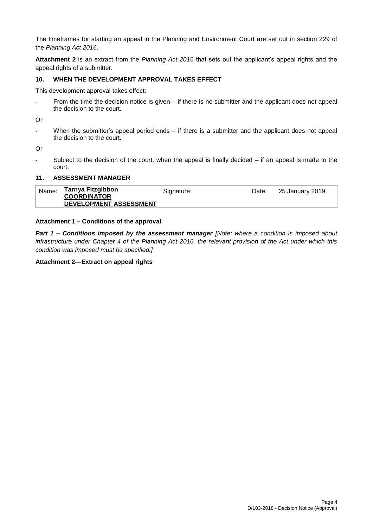The timeframes for starting an appeal in the Planning and Environment Court are set out in section 229 of the *Planning Act 2016*.

**Attachment 2** is an extract from the *Planning Act 2016* that sets out the applicant's appeal rights and the appeal rights of a submitter.

### **10. WHEN THE DEVELOPMENT APPROVAL TAKES EFFECT**

This development approval takes effect:

- From the time the decision notice is given – if there is no submitter and the applicant does not appeal the decision to the court.

Or

- When the submitter's appeal period ends – if there is a submitter and the applicant does not appeal the decision to the court.

Or

Subject to the decision of the court, when the appeal is finally decided  $-$  if an appeal is made to the court.

### **11. ASSESSMENT MANAGER**

| Tarnya Fitzgibbon<br>Name:<br><b>COORDINATOR</b><br>DEVELOPMENT ASSESSMENT | Signature: | Date: | 25 January 2019 |
|----------------------------------------------------------------------------|------------|-------|-----------------|
|----------------------------------------------------------------------------|------------|-------|-----------------|

#### **Attachment 1 – Conditions of the approval**

*Part 1* **–** *Conditions imposed by the assessment manager [Note: where a condition is imposed about infrastructure under Chapter 4 of the Planning Act 2016, the relevant provision of the Act under which this condition was imposed must be specified.]*

#### **Attachment 2—Extract on appeal rights**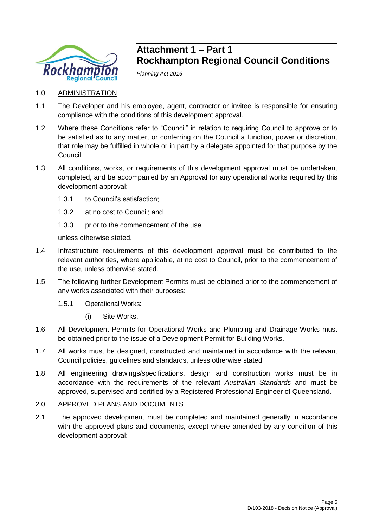

## **Attachment 1 – Part 1 Rockhampton Regional Council Conditions**

*Planning Act 2016*

- 1.0 ADMINISTRATION
- 1.1 The Developer and his employee, agent, contractor or invitee is responsible for ensuring compliance with the conditions of this development approval.
- 1.2 Where these Conditions refer to "Council" in relation to requiring Council to approve or to be satisfied as to any matter, or conferring on the Council a function, power or discretion, that role may be fulfilled in whole or in part by a delegate appointed for that purpose by the Council.
- 1.3 All conditions, works, or requirements of this development approval must be undertaken, completed, and be accompanied by an Approval for any operational works required by this development approval:
	- 1.3.1 to Council's satisfaction;
	- 1.3.2 at no cost to Council; and
	- 1.3.3 prior to the commencement of the use,

unless otherwise stated.

- 1.4 Infrastructure requirements of this development approval must be contributed to the relevant authorities, where applicable, at no cost to Council, prior to the commencement of the use, unless otherwise stated.
- 1.5 The following further Development Permits must be obtained prior to the commencement of any works associated with their purposes:
	- 1.5.1 Operational Works:
		- (i) Site Works.
- 1.6 All Development Permits for Operational Works and Plumbing and Drainage Works must be obtained prior to the issue of a Development Permit for Building Works.
- 1.7 All works must be designed, constructed and maintained in accordance with the relevant Council policies, guidelines and standards, unless otherwise stated.
- 1.8 All engineering drawings/specifications, design and construction works must be in accordance with the requirements of the relevant *Australian Standards* and must be approved, supervised and certified by a Registered Professional Engineer of Queensland.

## 2.0 APPROVED PLANS AND DOCUMENTS

2.1 The approved development must be completed and maintained generally in accordance with the approved plans and documents, except where amended by any condition of this development approval: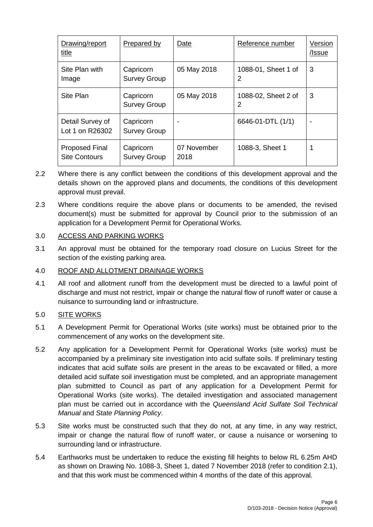| Drawing/report<br>title                       | Prepared by                      | Date                | Reference number         | Version<br>/Issue        |
|-----------------------------------------------|----------------------------------|---------------------|--------------------------|--------------------------|
| Site Plan with<br>Image                       | Capricorn<br><b>Survey Group</b> | 05 May 2018         | 1088-01, Sheet 1 of<br>2 | 3                        |
| Site Plan                                     | Capricorn<br><b>Survey Group</b> | 05 May 2018         | 1088-02, Sheet 2 of<br>2 | 3                        |
| Detail Survey of<br>Lot 1 on R26302           | Capricorn<br><b>Survey Group</b> |                     | 6646-01-DTL (1/1)        | $\overline{\phantom{0}}$ |
| <b>Proposed Final</b><br><b>Site Contours</b> | Capricorn<br><b>Survey Group</b> | 07 November<br>2018 | 1088-3, Sheet 1          |                          |

- 2.2 Where there is any conflict between the conditions of this development approval and the details shown on the approved plans and documents, the conditions of this development approval must prevail.
- 2.3 Where conditions require the above plans or documents to be amended, the revised document(s) must be submitted for approval by Council prior to the submission of an application for a Development Permit for Operational Works.

## 3.0 ACCESS AND PARKING WORKS

3.1 An approval must be obtained for the temporary road closure on Lucius Street for the section of the existing parking area.

## 4.0 ROOF AND ALLOTMENT DRAINAGE WORKS

4.1 All roof and allotment runoff from the development must be directed to a lawful point of discharge and must not restrict, impair or change the natural flow of runoff water or cause a nuisance to surrounding land or infrastructure.

## 5.0 SITE WORKS

- 5.1 A Development Permit for Operational Works (site works) must be obtained prior to the commencement of any works on the development site.
- 5.2 Any application for a Development Permit for Operational Works (site works) must be accompanied by a preliminary site investigation into acid sulfate soils. If preliminary testing indicates that acid sulfate soils are present in the areas to be excavated or filled, a more detailed acid sulfate soil investigation must be completed, and an appropriate management plan submitted to Council as part of any application for a Development Permit for Operational Works (site works). The detailed investigation and associated management plan must be carried out in accordance with the *Queensland Acid Sulfate Soil Technical Manual* and *State Planning Policy*.
- 5.3 Site works must be constructed such that they do not, at any time, in any way restrict, impair or change the natural flow of runoff water, or cause a nuisance or worsening to surrounding land or infrastructure.
- 5.4 Earthworks must be undertaken to reduce the existing fill heights to below RL 6.25m AHD as shown on Drawing No. 1088-3, Sheet 1, dated 7 November 2018 (refer to condition 2.1), and that this work must be commenced within 4 months of the date of this approval.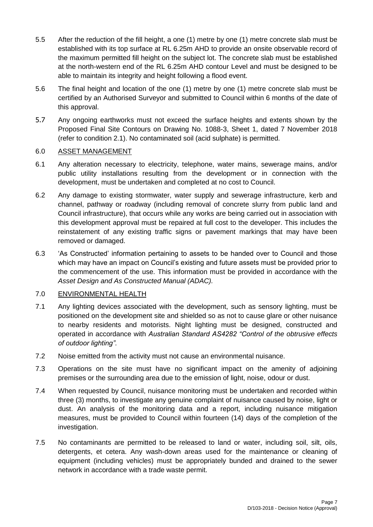- 5.5 After the reduction of the fill height, a one (1) metre by one (1) metre concrete slab must be established with its top surface at RL 6.25m AHD to provide an onsite observable record of the maximum permitted fill height on the subject lot. The concrete slab must be established at the north-western end of the RL 6.25m AHD contour Level and must be designed to be able to maintain its integrity and height following a flood event.
- 5.6 The final height and location of the one (1) metre by one (1) metre concrete slab must be certified by an Authorised Surveyor and submitted to Council within 6 months of the date of this approval.
- 5.7 Any ongoing earthworks must not exceed the surface heights and extents shown by the Proposed Final Site Contours on Drawing No. 1088-3, Sheet 1, dated 7 November 2018 (refer to condition 2.1). No contaminated soil (acid sulphate) is permitted.

## 6.0 ASSET MANAGEMENT

- 6.1 Any alteration necessary to electricity, telephone, water mains, sewerage mains, and/or public utility installations resulting from the development or in connection with the development, must be undertaken and completed at no cost to Council.
- 6.2 Any damage to existing stormwater, water supply and sewerage infrastructure, kerb and channel, pathway or roadway (including removal of concrete slurry from public land and Council infrastructure), that occurs while any works are being carried out in association with this development approval must be repaired at full cost to the developer. This includes the reinstatement of any existing traffic signs or pavement markings that may have been removed or damaged.
- 6.3 'As Constructed' information pertaining to assets to be handed over to Council and those which may have an impact on Council's existing and future assets must be provided prior to the commencement of the use. This information must be provided in accordance with the *Asset Design and As Constructed Manual (ADAC).*

## 7.0 ENVIRONMENTAL HEALTH

- 7.1 Any lighting devices associated with the development, such as sensory lighting, must be positioned on the development site and shielded so as not to cause glare or other nuisance to nearby residents and motorists. Night lighting must be designed, constructed and operated in accordance with *Australian Standard AS4282 "Control of the obtrusive effects of outdoor lighting"*.
- 7.2 Noise emitted from the activity must not cause an environmental nuisance.
- 7.3 Operations on the site must have no significant impact on the amenity of adjoining premises or the surrounding area due to the emission of light, noise, odour or dust.
- 7.4 When requested by Council, nuisance monitoring must be undertaken and recorded within three (3) months, to investigate any genuine complaint of nuisance caused by noise, light or dust. An analysis of the monitoring data and a report, including nuisance mitigation measures, must be provided to Council within fourteen (14) days of the completion of the investigation.
- 7.5 No contaminants are permitted to be released to land or water, including soil, silt, oils, detergents, et cetera. Any wash-down areas used for the maintenance or cleaning of equipment (including vehicles) must be appropriately bunded and drained to the sewer network in accordance with a trade waste permit.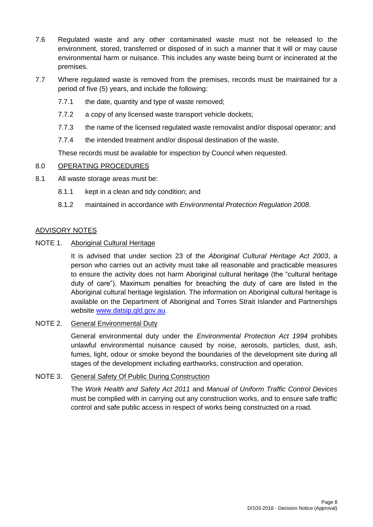- 7.6 Regulated waste and any other contaminated waste must not be released to the environment, stored, transferred or disposed of in such a manner that it will or may cause environmental harm or nuisance. This includes any waste being burnt or incinerated at the premises.
- 7.7 Where regulated waste is removed from the premises, records must be maintained for a period of five (5) years, and include the following:
	- 7.7.1 the date, quantity and type of waste removed;
	- 7.7.2 a copy of any licensed waste transport vehicle dockets;
	- 7.7.3 the name of the licensed regulated waste removalist and/or disposal operator; and
	- 7.7.4 the intended treatment and/or disposal destination of the waste.

These records must be available for inspection by Council when requested.

## 8.0 OPERATING PROCEDURES

- 8.1 All waste storage areas must be:
	- 8.1.1 kept in a clean and tidy condition; and
	- 8.1.2 maintained in accordance with *Environmental Protection Regulation 2008*.

## ADVISORY NOTES

## NOTE 1. Aboriginal Cultural Heritage

It is advised that under section 23 of the *Aboriginal Cultural Heritage Act 2003*, a person who carries out an activity must take all reasonable and practicable measures to ensure the activity does not harm Aboriginal cultural heritage (the "cultural heritage duty of care"). Maximum penalties for breaching the duty of care are listed in the Aboriginal cultural heritage legislation. The information on Aboriginal cultural heritage is available on the Department of Aboriginal and Torres Strait Islander and Partnerships website [www.datsip.qld.gov.au.](http://www.datsip.qld.gov.au/)

## NOTE 2. General Environmental Duty

General environmental duty under the *Environmental Protection Act 1994* prohibits unlawful environmental nuisance caused by noise, aerosols, particles, dust, ash, fumes, light, odour or smoke beyond the boundaries of the development site during all stages of the development including earthworks, construction and operation.

## NOTE 3. General Safety Of Public During Construction

The *Work Health and Safety Act 2011* and *Manual of Uniform Traffic Control Devices* must be complied with in carrying out any construction works, and to ensure safe traffic control and safe public access in respect of works being constructed on a road.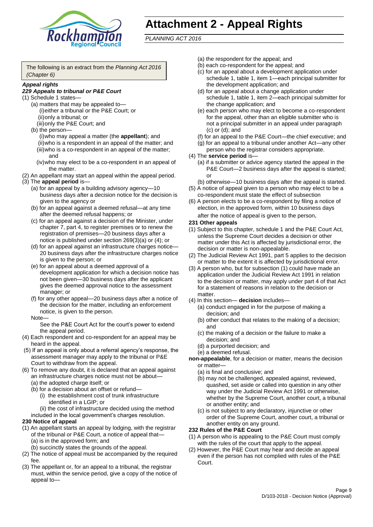

## **Attachment 2 - Appeal Rights**

*PLANNING ACT 2016*

The following is an extract from the *Planning Act 2016 (Chapter 6)*

#### *Appeal rights*

### *229 Appeals to tribunal or P&E Court*

- (1) Schedule 1 states—
	- (a) matters that may be appealed to— (i)either a tribunal or the P&E Court; or (ii)only a tribunal; or
	- (iii)only the P&E Court; and (b) the person—
		- (i)who may appeal a matter (the **appellant**); and (ii)who is a respondent in an appeal of the matter; and (iii)who is a co-respondent in an appeal of the matter; and
		- (iv)who may elect to be a co-respondent in an appeal of the matter.
- (2) An appellant may start an appeal within the appeal period.
- (3) The **appeal period** is—
	- (a) for an appeal by a building advisory agency—10 business days after a decision notice for the decision is given to the agency or
	- (b) for an appeal against a deemed refusal—at any time after the deemed refusal happens; or
	- (c) for an appeal against a decision of the Minister, under chapter 7, part 4, to register premises or to renew the registration of premises—20 business days after a notice is published under section 269(3)(a) or (4); or
	- (d) for an appeal against an infrastructure charges notice— 20 business days after the infrastructure charges notice is given to the person; or
	- (e) for an appeal about a deemed approval of a development application for which a decision notice has not been given—30 business days after the applicant gives the deemed approval notice to the assessment manager; or
	- (f) for any other appeal—20 business days after a notice of the decision for the matter, including an enforcement notice, is given to the person.

#### Note—

See the P&E Court Act for the court's power to extend the appeal period.

- (4) Each respondent and co-respondent for an appeal may be heard in the appeal.
- (5) If an appeal is only about a referral agency's response, the assessment manager may apply to the tribunal or P&E Court to withdraw from the appeal.
- (6) To remove any doubt, it is declared that an appeal against an infrastructure charges notice must not be about—
	- (a) the adopted charge itself; or
	- (b) for a decision about an offset or refund—
		- (i) the establishment cost of trunk infrastructure identified in a LGIP; or
		- (ii) the cost of infrastructure decided using the method
	- included in the local government's charges resolution.

## **230 Notice of appeal**

- (1) An appellant starts an appeal by lodging, with the registrar of the tribunal or P&E Court, a notice of appeal that—
	- (a) is in the approved form; and
	- (b) succinctly states the grounds of the appeal.
- (2) The notice of appeal must be accompanied by the required fee.
- (3) The appellant or, for an appeal to a tribunal, the registrar must, within the service period, give a copy of the notice of appeal to—
- (a) the respondent for the appeal; and
- (b) each co-respondent for the appeal; and
- (c) for an appeal about a development application under schedule 1, table 1, item 1—each principal submitter for the development application; and
- (d) for an appeal about a change application under schedule 1, table 1, item 2—each principal submitter for the change application; and
- (e) each person who may elect to become a co-respondent for the appeal, other than an eligible submitter who is not a principal submitter in an appeal under paragraph (c) or (d); and
- (f) for an appeal to the P&E Court—the chief executive; and
- (g) for an appeal to a tribunal under another Act—any other person who the registrar considers appropriate.
- (4) The **service period** is—
	- (a) if a submitter or advice agency started the appeal in the P&E Court—2 business days after the appeal is started; or
	- (b) otherwise—10 business days after the appeal is started.
- (5) A notice of appeal given to a person who may elect to be a co-respondent must state the effect of subsection
- (6) A person elects to be a co-respondent by filing a notice of election, in the approved form, within 10 business days after the notice of appeal is given to the person*.*
- **231 Other appeals**
- (1) Subject to this chapter, schedule 1 and the P&E Court Act, unless the Supreme Court decides a decision or other matter under this Act is affected by jurisdictional error, the decision or matter is non-appealable.
- (2) The Judicial Review Act 1991, part 5 applies to the decision or matter to the extent it is affected by jurisdictional error.
- (3) A person who, but for subsection (1) could have made an application under the Judicial Review Act 1991 in relation to the decision or matter, may apply under part 4 of that Act for a statement of reasons in relation to the decision or matter.
- (4) In this section— **decision** includes—
	- (a) conduct engaged in for the purpose of making a decision; and
	- (b) other conduct that relates to the making of a decision; and
	- (c) the making of a decision or the failure to make a decision; and
	- (d) a purported decision; and
	- (e) a deemed refusal.

**non-appealable**, for a decision or matter, means the decision or matter—

- (a) is final and conclusive; and
- (b) may not be challenged, appealed against, reviewed, quashed, set aside or called into question in any other way under the Judicial Review Act 1991 or otherwise, whether by the Supreme Court, another court, a tribunal or another entity; and
- (c) is not subject to any declaratory, injunctive or other order of the Supreme Court, another court, a tribunal or another entity on any ground.

#### **232 Rules of the P&E Court**

- (1) A person who is appealing to the P&E Court must comply with the rules of the court that apply to the appeal.
- (2) However, the P&E Court may hear and decide an appeal even if the person has not complied with rules of the P&E Court.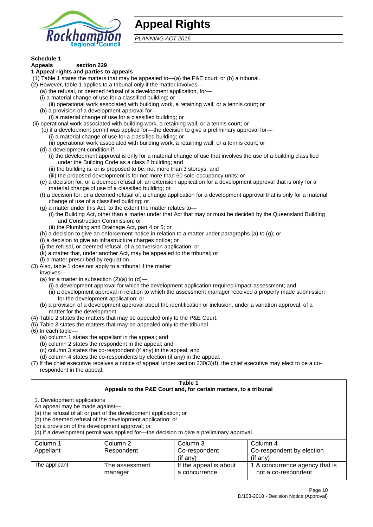

## **Appeal Rights**

*PLANNING ACT 2016*

## **Schedule 1**

#### **Appeals section 229 1 Appeal rights and parties to appeals**

- (1) Table 1 states the matters that may be appealed to—(a) the P&E court; or (b) a tribunal.
- (2) However, table 1 applies to a tribunal only if the matter involves—
	- (a) the refusal, or deemed refusal of a development application, for—
	- (i) a material change of use for a classified building; or
	- (ii) operational work associated with building work, a retaining wall, or a tennis court; or
	- (b) a provision of a development approval for—
	- (i) a material change of use for a classified building; or
- (ii) operational work associated with building work, a retaining wall, or a tennis court; or
	- (c) if a development permit was applied for—the decision to give a preliminary approval for—
		- (i) a material change of use for a classified building; or
	- (ii) operational work associated with building work, a retaining wall, or a tennis court; or
	- (d) a development condition if—
		- (i) the development approval is only for a material change of use that involves the use of a building classified under the Building Code as a class 2 building; and
		- (ii) the building is, or is proposed to be, not more than 3 storeys; and
		- (iii) the proposed development is for not more than 60 sole-occupancy units; or
	- (e) a decision for, or a deemed refusal of, an extension application for a development approval that is only for a material change of use of a classified building; or
	- (f) a decision for, or a deemed refusal of, a change application for a development approval that is only for a material change of use of a classified building; or
	- (g) a matter under this Act, to the extent the matter relates to—
		- (i) the Building Act, other than a matter under that Act that may or must be decided by the Queensland Building and Construction Commission; or
		- (ii) the Plumbing and Drainage Act, part 4 or 5; or
	- (h) a decision to give an enforcement notice in relation to a matter under paragraphs (a) to (g); or
	- (i) a decision to give an infrastructure charges notice; or
	- (j) the refusal, or deemed refusal, of a conversion application; or
	- (k) a matter that, under another Act, may be appealed to the tribunal; or
	- (l) a matter prescribed by regulation.
- (3) Also, table 1 does not apply to a tribunal if the matter

involves—

- (a) for a matter in subsection  $(2)(a)$  to  $(d)$ 
	- (i) a development approval for which the development application required impact assessment; and
	- (ii) a development approval in relation to which the assessment manager received a properly made submission for the development application; or
- (b) a provision of a development approval about the identification or inclusion, under a variation approval, of a matter for the development.
- (4) Table 2 states the matters that may be appealed only to the P&E Court.
- (5) Table 3 states the matters that may be appealed only to the tribunal.
- (6) In each table—
	- (a) column 1 states the appellant in the appeal; and
	- (b) column 2 states the respondent in the appeal; and
	- (c) column 3 states the co-respondent (if any) in the appeal; and
	- (d) column 4 states the co-respondents by election (if any) in the appeal.
- (7) If the chief executive receives a notice of appeal under section 230(3)(f), the chief executive may elect to be a corespondent in the appeal.

| Table 1<br>Appeals to the P&E Court and, for certain matters, to a tribunal                                                                         |                                                                                                                                                                                                                            |                                         |                                                       |  |  |
|-----------------------------------------------------------------------------------------------------------------------------------------------------|----------------------------------------------------------------------------------------------------------------------------------------------------------------------------------------------------------------------------|-----------------------------------------|-------------------------------------------------------|--|--|
| 1. Development applications<br>An appeal may be made against-<br>(c) a provision of the development approval; or                                    | (a) the refusal of all or part of the development application; or<br>(b) the deemed refusal of the development application; or<br>(d) if a development permit was applied for-the decision to give a preliminary approval. |                                         |                                                       |  |  |
| Column 3<br>Column 1<br>Column 2<br>Column 4<br>Co-respondent by election<br>Appellant<br>Respondent<br>Co-respondent<br>(if any)<br>$($ if any $)$ |                                                                                                                                                                                                                            |                                         |                                                       |  |  |
| The applicant                                                                                                                                       | The assessment<br>manager                                                                                                                                                                                                  | If the appeal is about<br>a concurrence | 1 A concurrence agency that is<br>not a co-respondent |  |  |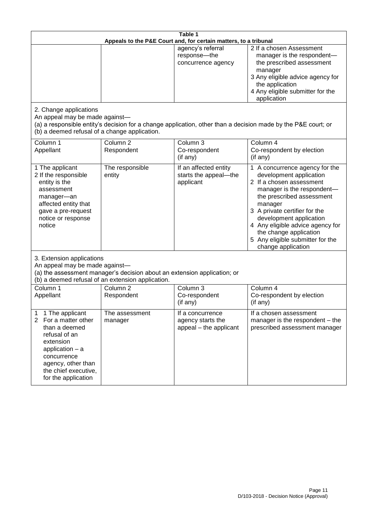| Table 1<br>Appeals to the P&E Court and, for certain matters, to a tribunal                                                                                                                                        |                                   |                                                                 |                                                                                                                                                                                                                                                                                                                                                 |  |
|--------------------------------------------------------------------------------------------------------------------------------------------------------------------------------------------------------------------|-----------------------------------|-----------------------------------------------------------------|-------------------------------------------------------------------------------------------------------------------------------------------------------------------------------------------------------------------------------------------------------------------------------------------------------------------------------------------------|--|
|                                                                                                                                                                                                                    |                                   | agency's referral<br>response-the<br>concurrence agency         | 2 If a chosen Assessment<br>manager is the respondent-<br>the prescribed assessment<br>manager<br>3 Any eligible advice agency for<br>the application<br>4 Any eligible submitter for the<br>application                                                                                                                                        |  |
| 2. Change applications<br>An appeal may be made against-<br>(b) a deemed refusal of a change application.                                                                                                          |                                   |                                                                 | (a) a responsible entity's decision for a change application, other than a decision made by the P&E court; or                                                                                                                                                                                                                                   |  |
| Column 1<br>Appellant                                                                                                                                                                                              | Column <sub>2</sub><br>Respondent | Column 3<br>Co-respondent<br>(if any)                           | Column 4<br>Co-respondent by election<br>(if any)                                                                                                                                                                                                                                                                                               |  |
| 1 The applicant<br>2 If the responsible<br>entity is the<br>assessment<br>manager-an<br>affected entity that<br>gave a pre-request<br>notice or response<br>notice                                                 | The responsible<br>entity         | If an affected entity<br>starts the appeal-the<br>applicant     | 1 A concurrence agency for the<br>development application<br>2 If a chosen assessment<br>manager is the respondent-<br>the prescribed assessment<br>manager<br>3 A private certifier for the<br>development application<br>4 Any eligible advice agency for<br>the change application<br>5 Any eligible submitter for the<br>change application |  |
| 3. Extension applications<br>An appeal may be made against-<br>(a) the assessment manager's decision about an extension application; or<br>(b) a deemed refusal of an extension application.                       |                                   |                                                                 |                                                                                                                                                                                                                                                                                                                                                 |  |
| Column 1<br>Appellant                                                                                                                                                                                              | Column <sub>2</sub><br>Respondent | Column 3<br>Co-respondent<br>(if any)                           | Column 4<br>Co-respondent by election<br>(if any)                                                                                                                                                                                                                                                                                               |  |
| 1 The applicant<br>1<br>For a matter other<br>$\overline{2}$<br>than a deemed<br>refusal of an<br>extension<br>application - a<br>concurrence<br>agency, other than<br>the chief executive,<br>for the application | The assessment<br>manager         | If a concurrence<br>agency starts the<br>appeal - the applicant | If a chosen assessment<br>manager is the respondent - the<br>prescribed assessment manager                                                                                                                                                                                                                                                      |  |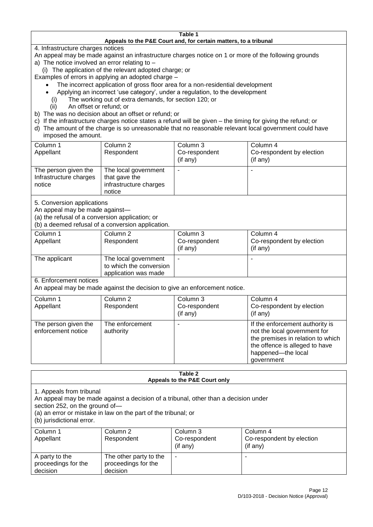#### **Table 1 Appeals to the P&E Court and, for certain matters, to a tribunal**

4. Infrastructure charges notices

- An appeal may be made against an infrastructure charges notice on 1 or more of the following grounds
- a) The notice involved an error relating to
	- (i) The application of the relevant adopted charge; or
- Examples of errors in applying an adopted charge
	- The incorrect application of gross floor area for a non-residential development
	- Applying an incorrect 'use category', under a regulation, to the development
	- (i) The working out of extra demands, for section 120; or
	- (ii) An offset or refund; or
- b) The was no decision about an offset or refund; or
- c) If the infrastructure charges notice states a refund will be given the timing for giving the refund; or
- d) The amount of the charge is so unreasonable that no reasonable relevant local government could have
- imposed the amount.

| Column 1                                                 | Column 2                                                                  | Column 3      | Column 4                  |
|----------------------------------------------------------|---------------------------------------------------------------------------|---------------|---------------------------|
| Appellant                                                | Respondent                                                                | Co-respondent | Co-respondent by election |
|                                                          |                                                                           | (if any)      | (if any)                  |
| The person given the<br>Infrastructure charges<br>notice | The local government<br>that gave the<br>infrastructure charges<br>notice | -             |                           |

5. Conversion applications

An appeal may be made against—

(a) the refusal of a conversion application; or

(b) a deemed refusal of a conversion application.

| Column 1<br>Appellant | Column 2<br>Respondent                                                  | Column 3<br>Co-respondent<br>$($ if any $)$ | Column 4<br>Co-respondent by election<br>(if any) |
|-----------------------|-------------------------------------------------------------------------|---------------------------------------------|---------------------------------------------------|
|                       |                                                                         |                                             |                                                   |
| The applicant         | The local government<br>to which the conversion<br>application was made |                                             |                                                   |

6. Enforcement notices

An appeal may be made against the decision to give an enforcement notice.

| Column 1<br>Appellant                      | Column 2<br>Respondent       | Column 3<br>Co-respondent<br>(if any) | Column 4<br>Co-respondent by election<br>(if any)                                                                                                                          |
|--------------------------------------------|------------------------------|---------------------------------------|----------------------------------------------------------------------------------------------------------------------------------------------------------------------------|
| The person given the<br>enforcement notice | The enforcement<br>authority |                                       | If the enforcement authority is<br>not the local government for<br>the premises in relation to which<br>the offence is alleged to have<br>happened-the local<br>government |

#### **Table 2 Appeals to the P&E Court only**

1. Appeals from tribunal

An appeal may be made against a decision of a tribunal, other than a decision under

section 252, on the ground of—

(a) an error or mistake in law on the part of the tribunal; or

(b) jurisdictional error.

| Column 1<br>Appellant                             | Column 2<br>Respondent                                    | Column 3<br>Co-respondent<br>$($ if any $)$ | Column 4<br>Co-respondent by election<br>(if any) |
|---------------------------------------------------|-----------------------------------------------------------|---------------------------------------------|---------------------------------------------------|
| A party to the<br>proceedings for the<br>decision | The other party to the<br>proceedings for the<br>decision | ۰                                           |                                                   |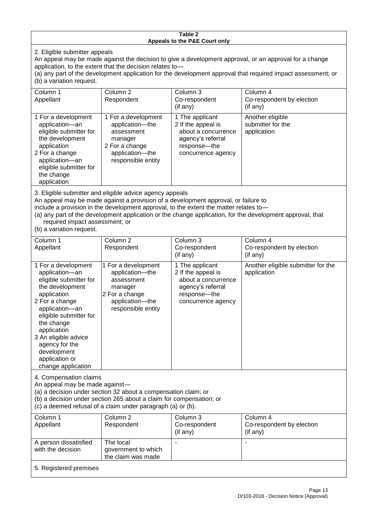#### **Table 2 Appeals to the P&E Court only**

2. Eligible submitter appeals

An appeal may be made against the decision to give a development approval, or an approval for a change application, to the extent that the decision relates to—

(a) any part of the development application for the development approval that required impact assessment; or (b) a variation request.

| Column 1<br>Appellant                                                                                                                                                                        | Column 2<br>Respondent                                                                                                     | Column 3<br>Co-respondent<br>(if any)                                                                                   | Column 4<br>Co-respondent by election<br>(if any)    |  |
|----------------------------------------------------------------------------------------------------------------------------------------------------------------------------------------------|----------------------------------------------------------------------------------------------------------------------------|-------------------------------------------------------------------------------------------------------------------------|------------------------------------------------------|--|
| 1 For a development<br>application-an<br>eligible submitter for<br>the development<br>application<br>2 For a change<br>application-an<br>eligible submitter for<br>the change<br>application | 1 For a development<br>application-the<br>assessment<br>manager<br>2 For a change<br>application-the<br>responsible entity | 1 The applicant<br>2 If the appeal is<br>about a concurrence<br>agency's referral<br>response-the<br>concurrence agency | Another eligible<br>submitter for the<br>application |  |
| A FRING I I GMI I I I MARI I RADIO I I I I I I I I I I I I I I                                                                                                                               |                                                                                                                            |                                                                                                                         |                                                      |  |

3. Eligible submitter and eligible advice agency appeals

An appeal may be made against a provision of a development approval, or failure to

include a provision in the development approval, to the extent the matter relates to—

the claim was made

(a) any part of the development application or the change application, for the development approval, that required impact assessment; or

(b) a variation request.

5. Registered premises

| Column 1<br>Appellant                                                                                                                                                                                                                                                                         | Column <sub>2</sub><br>Respondent                                                                                          | Column 3<br>Co-respondent<br>(if any)                                                                                   | Column 4<br>Co-respondent by election<br>(if any)            |  |
|-----------------------------------------------------------------------------------------------------------------------------------------------------------------------------------------------------------------------------------------------------------------------------------------------|----------------------------------------------------------------------------------------------------------------------------|-------------------------------------------------------------------------------------------------------------------------|--------------------------------------------------------------|--|
| 1 For a development<br>application-an<br>eligible submitter for<br>the development<br>application<br>2 For a change<br>application-an<br>eligible submitter for<br>the change<br>application<br>3 An eligible advice<br>agency for the<br>development<br>application or<br>change application | 1 For a development<br>application-the<br>assessment<br>manager<br>2 For a change<br>application-the<br>responsible entity | 1 The applicant<br>2 If the appeal is<br>about a concurrence<br>agency's referral<br>response-the<br>concurrence agency | Another eligible submitter for the<br>application            |  |
| 4. Compensation claims<br>An appeal may be made against-<br>(a) a decision under section 32 about a compensation claim; or<br>(b) a decision under section 265 about a claim for compensation; or<br>(c) a deemed refusal of a claim under paragraph (a) or (b).                              |                                                                                                                            |                                                                                                                         |                                                              |  |
| Column 1<br>Appellant                                                                                                                                                                                                                                                                         | Column <sub>2</sub><br>Respondent                                                                                          | Column 3<br>Co-respondent<br>(if any)                                                                                   | Column <sub>4</sub><br>Co-respondent by election<br>(if any) |  |
| A person dissatisfied<br>with the decision                                                                                                                                                                                                                                                    | The local<br>government to which                                                                                           |                                                                                                                         |                                                              |  |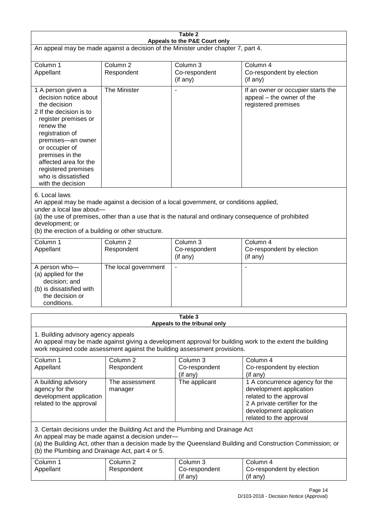| Table 2<br>Appeals to the P&E Court only                                                                                                                                                                                                                                                                             |                                   |                                                  |                                                                                                                                                                             |  |
|----------------------------------------------------------------------------------------------------------------------------------------------------------------------------------------------------------------------------------------------------------------------------------------------------------------------|-----------------------------------|--------------------------------------------------|-----------------------------------------------------------------------------------------------------------------------------------------------------------------------------|--|
| An appeal may be made against a decision of the Minister under chapter 7, part 4.                                                                                                                                                                                                                                    |                                   |                                                  |                                                                                                                                                                             |  |
| Column 1<br>Appellant                                                                                                                                                                                                                                                                                                | Column <sub>2</sub><br>Respondent | Column 3<br>Co-respondent<br>(if any)            | Column 4<br>Co-respondent by election<br>(if any)                                                                                                                           |  |
| 1 A person given a<br>decision notice about<br>the decision<br>2 If the decision is to<br>register premises or<br>renew the<br>registration of<br>premises-an owner<br>or occupier of<br>premises in the<br>affected area for the<br>registered premises<br>who is dissatisfied<br>with the decision                 | The Minister                      |                                                  | If an owner or occupier starts the<br>appeal - the owner of the<br>registered premises                                                                                      |  |
| 6. Local laws<br>An appeal may be made against a decision of a local government, or conditions applied,<br>under a local law about-<br>(a) the use of premises, other than a use that is the natural and ordinary consequence of prohibited<br>development; or<br>(b) the erection of a building or other structure. |                                   |                                                  |                                                                                                                                                                             |  |
| Column 1<br>Appellant                                                                                                                                                                                                                                                                                                | Column <sub>2</sub><br>Respondent | Column <sub>3</sub><br>Co-respondent<br>(if any) | Column 4<br>Co-respondent by election<br>(if any)                                                                                                                           |  |
| A person who-<br>(a) applied for the<br>decision; and<br>(b) is dissatisfied with<br>the decision or<br>conditions.                                                                                                                                                                                                  | The local government              | $\blacksquare$                                   |                                                                                                                                                                             |  |
| Table 3                                                                                                                                                                                                                                                                                                              |                                   |                                                  |                                                                                                                                                                             |  |
| Appeals to the tribunal only<br>1. Building advisory agency appeals<br>An appeal may be made against giving a development approval for building work to the extent the building<br>work required code assessment against the building assessment provisions.                                                         |                                   |                                                  |                                                                                                                                                                             |  |
| Column 1<br>Appellant                                                                                                                                                                                                                                                                                                | Column 2<br>Respondent            | Column 3<br>Co-respondent<br>(if any)            | Column 4<br>Co-respondent by election<br>(if any)                                                                                                                           |  |
| A building advisory<br>agency for the<br>development application<br>related to the approval                                                                                                                                                                                                                          | The assessment<br>manager         | The applicant                                    | 1 A concurrence agency for the<br>development application<br>related to the approval<br>2 A private certifier for the<br>development application<br>related to the approval |  |
| 3. Certain decisions under the Building Act and the Plumbing and Drainage Act<br>An appeal may be made against a decision under-<br>(a) the Building Act, other than a decision made by the Queensland Building and Construction Commission; or<br>(b) the Plumbing and Drainage Act, part 4 or 5.                   |                                   |                                                  |                                                                                                                                                                             |  |
| Column 1<br>Appellant                                                                                                                                                                                                                                                                                                | Column <sub>2</sub><br>Respondent | Column 3<br>Co-respondent<br>(if any)            | Column 4<br>Co-respondent by election<br>(if any)                                                                                                                           |  |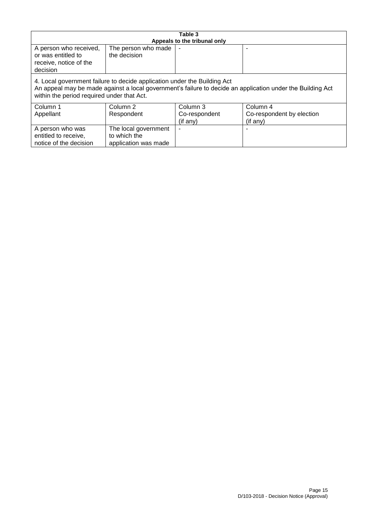| Table 3                                                                                                                                                                                                                              |                                     |                              |                           |  |
|--------------------------------------------------------------------------------------------------------------------------------------------------------------------------------------------------------------------------------------|-------------------------------------|------------------------------|---------------------------|--|
|                                                                                                                                                                                                                                      |                                     | Appeals to the tribunal only |                           |  |
| A person who received,<br>or was entitled to<br>receive, notice of the<br>decision                                                                                                                                                   | The person who made<br>the decision |                              |                           |  |
| 4. Local government failure to decide application under the Building Act<br>An appeal may be made against a local government's failure to decide an application under the Building Act<br>within the period required under that Act. |                                     |                              |                           |  |
| Column 1                                                                                                                                                                                                                             | Column 2                            | Column 3                     | Column 4                  |  |
| Appellant                                                                                                                                                                                                                            | Respondent                          | Co-respondent                | Co-respondent by election |  |
|                                                                                                                                                                                                                                      |                                     | (if any)                     | (if any)                  |  |
| A person who was                                                                                                                                                                                                                     | The local government                |                              |                           |  |
| entitled to receive,                                                                                                                                                                                                                 | to which the                        |                              |                           |  |
| notice of the decision                                                                                                                                                                                                               | application was made                |                              |                           |  |